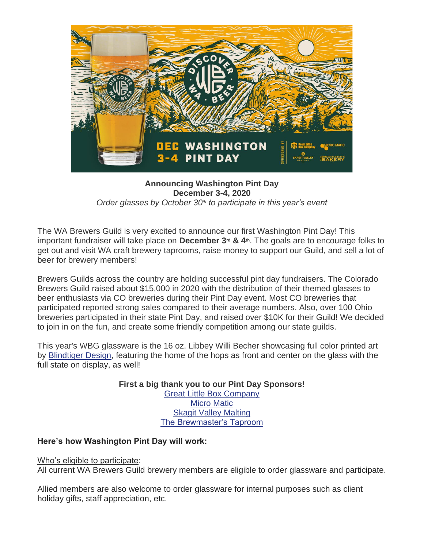

## **Announcing Washington Pint Day December 3-4, 2020** *Order glasses by October 30th to participate in this year's event*

The WA Brewers Guild is very excited to announce our first Washington Pint Day! This important fundraiser will take place on **December 3rd & 4th**. The goals are to encourage folks to get out and visit WA craft brewery taprooms, raise money to support our Guild, and sell a lot of beer for brewery members!

Brewers Guilds across the country are holding successful pint day fundraisers. The Colorado Brewers Guild raised about \$15,000 in 2020 with the distribution of their themed glasses to beer enthusiasts via CO breweries during their Pint Day event. Most CO breweries that participated reported strong sales compared to their average numbers. Also, over 100 Ohio breweries participated in their state Pint Day, and raised over \$10K for their Guild! We decided to join in on the fun, and create some friendly competition among our state guilds.

This year's WBG glassware is the 16 oz. Libbey Willi Becher showcasing full color printed art by [Blindtiger Design,](https://blindtigerdesign.com/) featuring the home of the hops as front and center on the glass with the full state on display, as well!

> **First a big thank you to our Pint Day Sponsors!** [Great Little Box Company](https://www.glbc.com/) [Micro Matic](https://www.micromatic.com/) [Skagit Valley Malting](https://www.skagitvalleymalting.com/) [The Brewmaster's Taproom](https://www.thebrewmasterstaproom.com/)

## **Here's how Washington Pint Day will work:**

## Who's eligible to participate:

All current WA Brewers Guild brewery members are eligible to order glassware and participate.

Allied members are also welcome to order glassware for internal purposes such as client holiday gifts, staff appreciation, etc.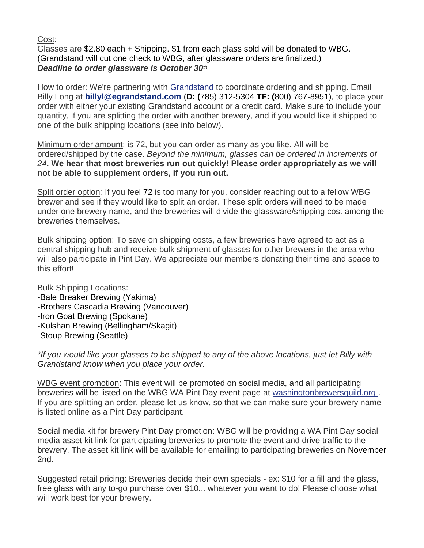Cost:

Glasses are \$2.80 each + Shipping. \$1 from each glass sold will be donated to WBG. (Grandstand will cut one check to WBG, after glassware orders are finalized.) *Deadline to order glassware is October 30th*

How to order: We're partnering with [Grandstand t](https://egrandstand.com/)o coordinate ordering and shipping. Email Billy Long at **[billyl@egrandstand.com](mailto:billyl@egrandstand.com)** (**D: (**785) 312-5304 **TF: (**800) 767-8951), to place your order with either your existing Grandstand account or a credit card. Make sure to include your quantity, if you are splitting the order with another brewery, and if you would like it shipped to one of the bulk shipping locations (see info below).

Minimum order amount: is 72, but you can order as many as you like. All will be ordered/shipped by the case. *Beyond the minimum, glasses can be ordered in increments of 24***. We hear that most breweries run out quickly! Please order appropriately as we will not be able to supplement orders, if you run out.**

Split order option*:* If you feel 72 is too many for you, consider reaching out to a fellow WBG brewer and see if they would like to split an order. These split orders will need to be made under one brewery name, and the breweries will divide the glassware/shipping cost among the breweries themselves.

Bulk shipping option: To save on shipping costs, a few breweries have agreed to act as a central shipping hub and receive bulk shipment of glasses for other brewers in the area who will also participate in Pint Day. We appreciate our members donating their time and space to this effort!

Bulk Shipping Locations: -Bale Breaker Brewing (Yakima) -Brothers Cascadia Brewing (Vancouver) -Iron Goat Brewing (Spokane) -Kulshan Brewing (Bellingham/Skagit) -Stoup Brewing (Seattle)

*\*If you would like your glasses to be shipped to any of the above locations, just let Billy with Grandstand know when you place your order.* 

WBG event promotion: This event will be promoted on social media, and all participating breweries will be listed on the WBG WA Pint Day event page at [washingtonbrewersguild.org](https://www.washingtonbrewersguild.org/) . If you are splitting an order, please let us know, so that we can make sure your brewery name is listed online as a Pint Day participant.

Social media kit for brewery Pint Day promotion: WBG will be providing a WA Pint Day social media asset kit link for participating breweries to promote the event and drive traffic to the brewery. The asset kit link will be available for emailing to participating breweries on November 2nd.

Suggested retail pricing: Breweries decide their own specials - ex: \$10 for a fill and the glass, free glass with any to-go purchase over \$10... whatever you want to do! Please choose what will work best for your brewery.